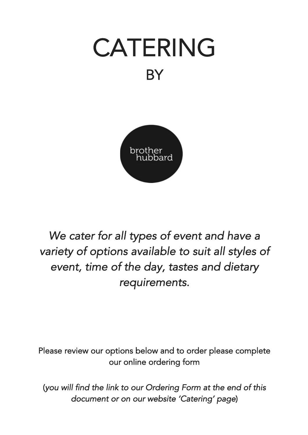



*We cater for all types of event and have a variety of options available to suit all styles of event, time of the day, tastes and dietary requirements.* 

Please review our options below and to order please complete our online ordering form

(*you will find the link to our Ordering Form at the end of this document or on our website 'Catering' page*)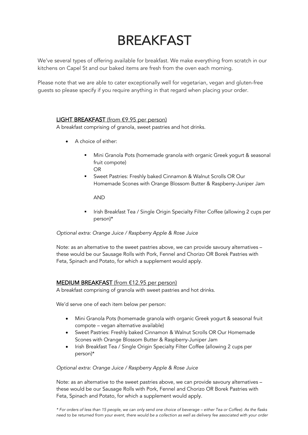# BREAKFAST

We've several types of offering available for breakfast. We make everything from scratch in our kitchens on Capel St and our baked items are fresh from the oven each morning.

Please note that we are able to cater exceptionally well for vegetarian, vegan and gluten-free guests so please specify if you require anything in that regard when placing your order.

### LIGHT BREAKFAST (from €9.95 per person)

A breakfast comprising of granola, sweet pastries and hot drinks.

- A choice of either:
	- § Mini Granola Pots (homemade granola with organic Greek yogurt & seasonal fruit compote) OR
	- Sweet Pastries: Freshly baked Cinnamon & Walnut Scrolls OR Our Homemade Scones with Orange Blossom Butter & Raspberry-Juniper Jam

AND

§ Irish Breakfast Tea / Single Origin Specialty Filter Coffee (allowing 2 cups per person)\*

### *Optional extra: Orange Juice / Raspberry Apple & Rose Juice*

Note: as an alternative to the sweet pastries above, we can provide savoury alternatives – these would be our Sausage Rolls with Pork, Fennel and Chorizo OR Borek Pastries with Feta, Spinach and Potato, for which a supplement would apply.

### MEDIUM BREAKFAST (from €12.95 per person)

A breakfast comprising of granola with sweet pastries and hot drinks.

We'd serve one of each item below per person:

- Mini Granola Pots (homemade granola with organic Greek yogurt & seasonal fruit compote – vegan alternative available)
- Sweet Pastries: Freshly baked Cinnamon & Walnut Scrolls OR Our Homemade Scones with Orange Blossom Butter & Raspberry-Juniper Jam
- Irish Breakfast Tea / Single Origin Specialty Filter Coffee (allowing 2 cups per person)\*

### *Optional extra: Orange Juice / Raspberry Apple & Rose Juice*

Note: as an alternative to the sweet pastries above, we can provide savoury alternatives – these would be our Sausage Rolls with Pork, Fennel and Chorizo OR Borek Pastries with Feta, Spinach and Potato, for which a supplement would apply.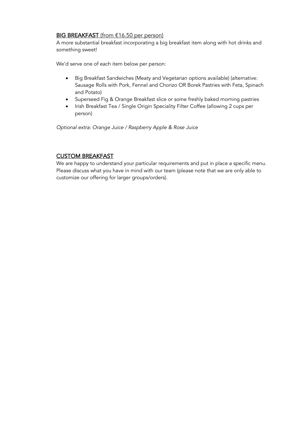### BIG BREAKFAST (from €16.50 per person)

A more substantial breakfast incorporating a big breakfast item along with hot drinks and something sweet!

We'd serve one of each item below per person:

- Big Breakfast Sandwiches (Meaty and Vegetarian options available) (alternative: Sausage Rolls with Pork, Fennel and Chorizo OR Borek Pastries with Feta, Spinach and Potato)
- Superseed Fig & Orange Breakfast slice or some freshly baked morning pastries
- Irish Breakfast Tea / Single Origin Speciality Filter Coffee (allowing 2 cups per person)

*Optional extra: Orange Juice / Raspberry Apple & Rose Juice* 

### CUSTOM BREAKFAST

We are happy to understand your particular requirements and put in place a specific menu. Please discuss what you have in mind with our team (please note that we are only able to customize our offering for larger groups/orders).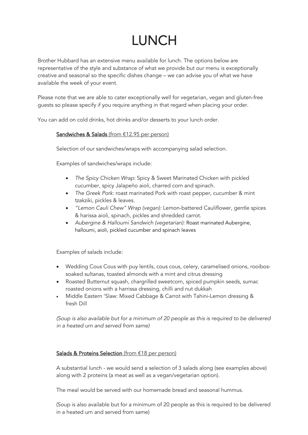# LUNCH

Brother Hubbard has an extensive menu available for lunch. The options below are representative of the style and substance of what we provide but our menu is exceptionally creative and seasonal so the specific dishes change – we can advise you of what we have available the week of your event.

Please note that we are able to cater exceptionally well for vegetarian, vegan and gluten-free guests so please specify if you require anything in that regard when placing your order.

You can add on cold drinks, hot drinks and/or desserts to your lunch order.

### Sandwiches & Salads (from €12.95 per person)

Selection of our sandwiches/wraps with accompanying salad selection.

Examples of sandwiches/wraps include:

- *The Spicy Chicken Wrap:* Spicy & Sweet Marinated Chicken with pickled cucumber, spicy Jalapeño aioli, charred corn and spinach.
- *The Greek Pork:* roast marinated Pork with roast pepper, cucumber & mint tzakziki, pickles & leaves.
- *"Lemon Cauli Chew" Wrap (vegan):* Lemon-battered Cauliflower, gentle spices & harissa aioli, spinach, pickles and shredded carrot.
- *Aubergine & Halloumi Sandwich (vegetarian):* Roast marinated Aubergine, halloumi, aioli, pickled cucumber and spinach leaves

Examples of salads include:

- Wedding Cous Cous with puy lentils, cous cous, celery, caramelised onions, rooibossoaked sultanas, toasted almonds with a mint and citrus dressing
- Roasted Butternut squash, chargrilled sweetcorn, spiced pumpkin seeds, sumac roasted onions with a harrissa dressing, chilli and nut dukkah
- Middle Eastern 'Slaw: Mixed Cabbage & Carrot with Tahini-Lemon dressing & fresh Dill

*(Soup is also available but for a minimum of 20 people as this is required to be delivered in a heated urn and served from same)*

### Salads & Proteins Selection (from €18 per person)

A substantial lunch - we would send a selection of 3 salads along (see examples above) along with 2 proteins (a meat as well as a vegan/vegetarian option).

The meal would be served with our homemade bread and seasonal hummus.

(Soup is also available but for a minimum of 20 people as this is required to be delivered in a heated urn and served from same)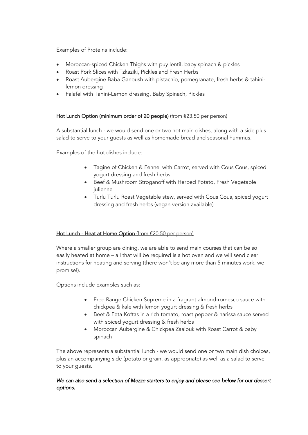Examples of Proteins include:

- Moroccan-spiced Chicken Thighs with puy lentil, baby spinach & pickles
- Roast Pork Slices with Tzkaziki, Pickles and Fresh Herbs
- Roast Aubergine Baba Ganoush with pistachio, pomegranate, fresh herbs & tahinilemon dressing
- Falafel with Tahini-Lemon dressing, Baby Spinach, Pickles

### Hot Lunch Option (minimum order of 20 people) (from €23.50 per person)

A substantial lunch - we would send one or two hot main dishes, along with a side plus salad to serve to your guests as well as homemade bread and seasonal hummus.

Examples of the hot dishes include:

- Tagine of Chicken & Fennel with Carrot, served with Cous Cous, spiced yogurt dressing and fresh herbs
- Beef & Mushroom Stroganoff with Herbed Potato, Fresh Vegetable julienne
- Turlu Turlu Roast Vegetable stew, served with Cous Cous, spiced yogurt dressing and fresh herbs (vegan version available)

### Hot Lunch - Heat at Home Option (from €20.50 per person)

Where a smaller group are dining, we are able to send main courses that can be so easily heated at home – all that will be required is a hot oven and we will send clear instructions for heating and serving (there won't be any more than 5 minutes work, we promise!).

Options include examples such as:

- Free Range Chicken Supreme in a fragrant almond-romesco sauce with chickpea & kale with lemon yogurt dressing & fresh herbs
- Beef & Feta Koftas in a rich tomato, roast pepper & harissa sauce served with spiced yogurt dressing & fresh herbs
- Moroccan Aubergine & Chickpea Zaalouk with Roast Carrot & baby spinach

The above represents a substantial lunch - we would send one or two main dish choices, plus an accompanying side (potato or grain, as appropriate) as well as a salad to serve to your guests.

### *We can also send a selection of Mezze starters to enjoy and please see below for our dessert options.*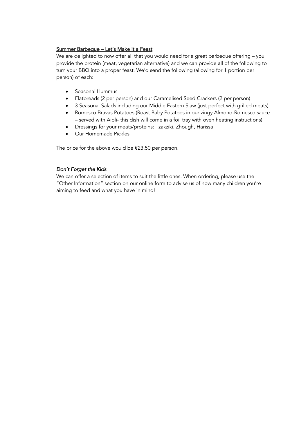### Summer Barbeque – Let's Make it a Feast

We are delighted to now offer all that you would need for a great barbeque offering – you provide the protein (meat, vegetarian alternative) and we can provide all of the following to turn your BBQ into a proper feast. We'd send the following (allowing for 1 portion per person) of each:

- Seasonal Hummus
- Flatbreads (2 per person) and our Caramelised Seed Crackers (2 per person)
- 3 Seasonal Salads including our Middle Eastern Slaw (just perfect with grilled meats)
- Romesco Bravas Potatoes (Roast Baby Potatoes in our zingy Almond-Romesco sauce – served with Aioli- this dish will come in a foil tray with oven heating instructions)
- Dressings for your meats/proteins: Tzakziki, Zhough, Harissa
- Our Homemade Pickles

The price for the above would be €23.50 per person.

### *Don't Forget the Kids*

We can offer a selection of items to suit the little ones. When ordering, please use the "Other Information" section on our online form to advise us of how many children you're aiming to feed and what you have in mind!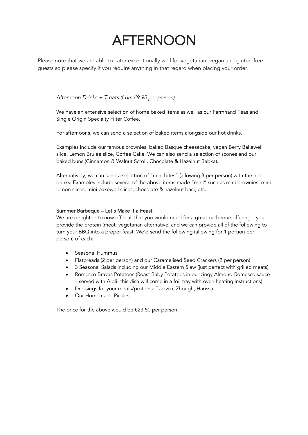# AFTERNOON

Please note that we are able to cater exceptionally well for vegetarian, vegan and gluten-free guests so please specify if you require anything in that regard when placing your order.

### *Afternoon Drinks + Treats (from* €*9.95 per person)*

We have an extensive selection of home baked items as well as our Farmhand Teas and Single Origin Specialty Filter Coffee.

For afternoons, we can send a selection of baked items alongside our hot drinks.

Examples include our famous brownies, baked Basque cheesecake, vegan Berry Bakewell slice, Lemon Brulee slice, Coffee Cake. We can also send a selection of scones and our baked buns (Cinnamon & Walnut Scroll, Chocolate & Hazelnut Babka).

Alternatively, we can send a selection of "mini bites" (allowing 3 per person) with the hot drinks. Examples include several of the above items made "mini" such as mini brownies, mini lemon slices, mini bakewell slices, chocolate & hazelnut baci, etc.

### Summer Barbeque – Let's Make it a Feast

We are delighted to now offer all that you would need for a great barbeque offering – you provide the protein (meat, vegetarian alternative) and we can provide all of the following to turn your BBQ into a proper feast. We'd send the following (allowing for 1 portion per person) of each:

- Seasonal Hummus
- Flatbreads (2 per person) and our Caramelised Seed Crackers (2 per person)
- 3 Seasonal Salads including our Middle Eastern Slaw (just perfect with grilled meats)
- Romesco Bravas Potatoes (Roast Baby Potatoes in our zingy Almond-Romesco sauce – served with Aioli- this dish will come in a foil tray with oven heating instructions)
- Dressings for your meats/proteins: Tzakziki, Zhough, Harissa
- Our Homemade Pickles

The price for the above would be  $£23.50$  per person.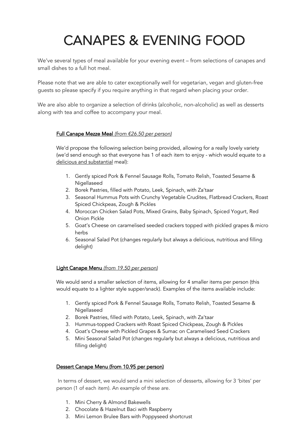# CANAPES & EVENING FOOD

We've several types of meal available for your evening event – from selections of canapes and small dishes to a full hot meal.

Please note that we are able to cater exceptionally well for vegetarian, vegan and gluten-free guests so please specify if you require anything in that regard when placing your order.

We are also able to organize a selection of drinks (alcoholic, non-alcoholic) as well as desserts along with tea and coffee to accompany your meal.

### Full Canape Mezze Meal *(from* €*26.50 per person)*

We'd propose the following selection being provided, allowing for a really lovely variety (we'd send enough so that everyone has 1 of each item to enjoy - which would equate to a delicious and substantial meal):

- 1. Gently spiced Pork & Fennel Sausage Rolls, Tomato Relish, Toasted Sesame & Nigellaseed
- 2. Borek Pastries, filled with Potato, Leek, Spinach, with Za'taar
- 3. Seasonal Hummus Pots with Crunchy Vegetable Crudites, Flatbread Crackers, Roast Spiced Chickpeas, Zough & Pickles
- 4. Moroccan Chicken Salad Pots, Mixed Grains, Baby Spinach, Spiced Yogurt, Red Onion Pickle
- 5. Goat's Cheese on caramelised seeded crackers topped with pickled grapes & micro herbs
- 6. Seasonal Salad Pot (changes regularly but always a delicious, nutritious and filling delight)

### Light Canape Menu *(from 19.50 per person)*

We would send a smaller selection of items, allowing for 4 smaller items per person (this would equate to a lighter style supper/snack). Examples of the items available include:

- 1. Gently spiced Pork & Fennel Sausage Rolls, Tomato Relish, Toasted Sesame & **Nigellaseed**
- 2. Borek Pastries, filled with Potato, Leek, Spinach, with Za'taar
- 3. Hummus-topped Crackers with Roast Spiced Chickpeas, Zough & Pickles
- 4. Goat's Cheese with Pickled Grapes & Sumac on Caramelised Seed Crackers
- 5. Mini Seasonal Salad Pot (changes regularly but always a delicious, nutritious and filling delight)

### Dessert Canape Menu (from 10.95 per person)

In terms of dessert, we would send a mini selection of desserts, allowing for 3 'bites' per person (1 of each item). An example of these are.

- 1. Mini Cherry & Almond Bakewells
- 2. Chocolate & Hazelnut Baci with Raspberry
- 3. Mini Lemon Brulee Bars with Poppyseed shortcrust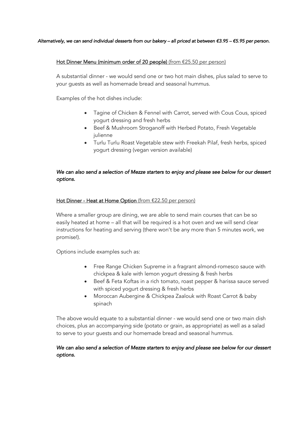#### *Alternatively, we can send individual desserts from our bakery – all priced at between* €*3.95 –* €*5.95 per person.*

### Hot Dinner Menu (minimum order of 20 people) (from €25.50 per person)

A substantial dinner - we would send one or two hot main dishes, plus salad to serve to your guests as well as homemade bread and seasonal hummus.

Examples of the hot dishes include:

- Tagine of Chicken & Fennel with Carrot, served with Cous Cous, spiced yogurt dressing and fresh herbs
- Beef & Mushroom Stroganoff with Herbed Potato, Fresh Vegetable julienne
- Turlu Turlu Roast Vegetable stew with Freekah Pilaf, fresh herbs, spiced yogurt dressing (vegan version available)

### *We can also send a selection of Mezze starters to enjoy and please see below for our dessert options.*

### Hot Dinner - Heat at Home Option (from €22.50 per person)

Where a smaller group are dining, we are able to send main courses that can be so easily heated at home – all that will be required is a hot oven and we will send clear instructions for heating and serving (there won't be any more than 5 minutes work, we promise!).

Options include examples such as:

- Free Range Chicken Supreme in a fragrant almond-romesco sauce with chickpea & kale with lemon yogurt dressing & fresh herbs
- Beef & Feta Koftas in a rich tomato, roast pepper & harissa sauce served with spiced yogurt dressing & fresh herbs
- Moroccan Aubergine & Chickpea Zaalouk with Roast Carrot & baby spinach

The above would equate to a substantial dinner - we would send one or two main dish choices, plus an accompanying side (potato or grain, as appropriate) as well as a salad to serve to your guests and our homemade bread and seasonal hummus.

### *We can also send a selection of Mezze starters to enjoy and please see below for our dessert options.*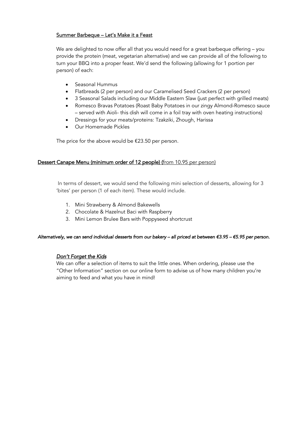### Summer Barbeque – Let's Make it a Feast

We are delighted to now offer all that you would need for a great barbeque offering – you provide the protein (meat, vegetarian alternative) and we can provide all of the following to turn your BBQ into a proper feast. We'd send the following (allowing for 1 portion per person) of each:

- Seasonal Hummus
- Flatbreads (2 per person) and our Caramelised Seed Crackers (2 per person)
- 3 Seasonal Salads including our Middle Eastern Slaw (just perfect with grilled meats)
- Romesco Bravas Potatoes (Roast Baby Potatoes in our zingy Almond-Romesco sauce – served with Aioli- this dish will come in a foil tray with oven heating instructions)
- Dressings for your meats/proteins: Tzakziki, Zhough, Harissa
- Our Homemade Pickles

The price for the above would be  $£23.50$  per person.

### Dessert Canape Menu (minimum order of 12 people) (from 10.95 per person)

In terms of dessert, we would send the following mini selection of desserts, allowing for 3 'bites' per person (1 of each item). These would include.

- 1. Mini Strawberry & Almond Bakewells
- 2. Chocolate & Hazelnut Baci with Raspberry
- 3. Mini Lemon Brulee Bars with Poppyseed shortcrust

#### *Alternatively, we can send individual desserts from our bakery – all priced at between* €*3.95 –* €*5.95 per person.*

### *Don't Forget the Kids*

We can offer a selection of items to suit the little ones. When ordering, please use the "Other Information" section on our online form to advise us of how many children you're aiming to feed and what you have in mind!